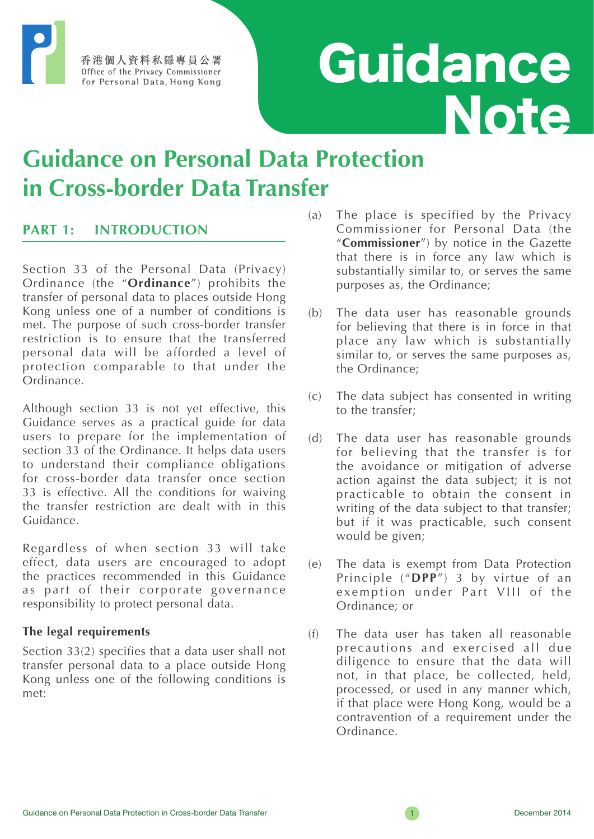香港個人資料私隱專員公署 Office of the Privacy Commissioner for Personal Data, Hong Kong

# Guidance **Note**

## **Guidance on Personal Data Protection in Cross-border Data Transfer**

## **PART 1: INTRODUCTION**

Section 33 of the Personal Data (Privacy) Ordinance (the "**Ordinance**") prohibits the transfer of personal data to places outside Hong Kong unless one of a number of conditions is met. The purpose of such cross-border transfer restriction is to ensure that the transferred personal data will be afforded a level of protection comparable to that under the Ordinance.

Although section 33 is not yet effective, this Guidance serves as a practical guide for data users to prepare for the implementation of section 33 of the Ordinance. It helps data users to understand their compliance obligations for cross-border data transfer once section 33 is effective. All the conditions for waiving the transfer restriction are dealt with in this Guidance.

Regardless of when section 33 will take effect, data users are encouraged to adopt the practices recommended in this Guidance as part of their corporate governance responsibility to protect personal data.

#### **The legal requirements**

Section 33(2) specifies that a data user shall not transfer personal data to a place outside Hong Kong unless one of the following conditions is met:

- (a) The place is specified by the Privacy Commissioner for Personal Data (the "**Commissioner**") by notice in the Gazette that there is in force any law which is substantially similar to, or serves the same purposes as, the Ordinance;
- (b) The data user has reasonable grounds for believing that there is in force in that place any law which is substantially similar to, or serves the same purposes as, the Ordinance;
- (c) The data subject has consented in writing to the transfer;
- (d) The data user has reasonable grounds for believing that the transfer is for the avoidance or mitigation of adverse action against the data subject; it is not practicable to obtain the consent in writing of the data subject to that transfer; but if it was practicable, such consent would be given;
- (e) The data is exempt from Data Protection Principle ("**DPP**") 3 by virtue of an exemption under Part VIII of the Ordinance; or
- (f) The data user has taken all reasonable precautions and exercised all due diligence to ensure that the data will not, in that place, be collected, held, processed, or used in any manner which, if that place were Hong Kong, would be a contravention of a requirement under the Ordinance.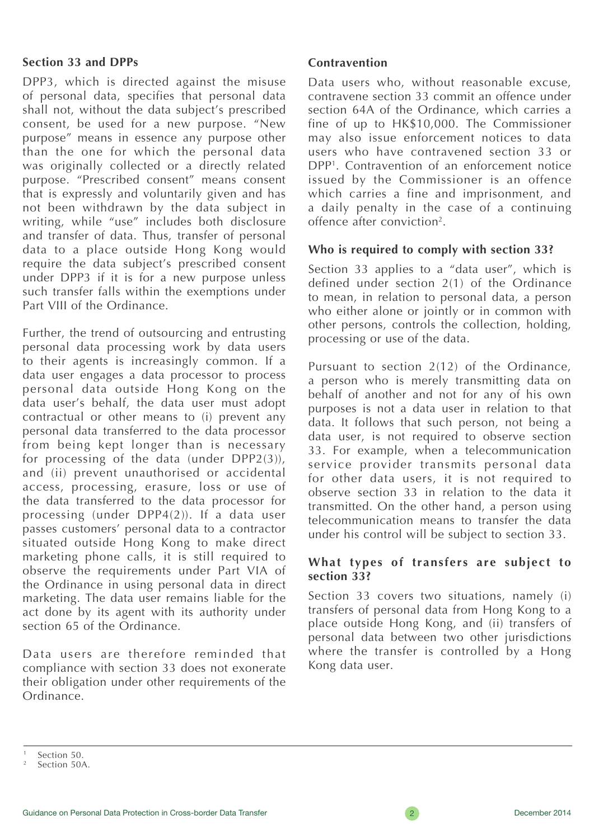#### **Section 33 and DPPs**

DPP3, which is directed against the misuse of personal data, specifies that personal data shall not, without the data subject's prescribed consent, be used for a new purpose. "New purpose" means in essence any purpose other than the one for which the personal data was originally collected or a directly related purpose. "Prescribed consent" means consent that is expressly and voluntarily given and has not been withdrawn by the data subject in writing, while "use" includes both disclosure and transfer of data. Thus, transfer of personal data to a place outside Hong Kong would require the data subject's prescribed consent under DPP3 if it is for a new purpose unless such transfer falls within the exemptions under Part VIII of the Ordinance.

Further, the trend of outsourcing and entrusting personal data processing work by data users to their agents is increasingly common. If a data user engages a data processor to process personal data outside Hong Kong on the data user's behalf, the data user must adopt contractual or other means to (i) prevent any personal data transferred to the data processor from being kept longer than is necessary for processing of the data (under DPP2(3)), and (ii) prevent unauthorised or accidental access, processing, erasure, loss or use of the data transferred to the data processor for processing (under DPP4(2)). If a data user passes customers' personal data to a contractor situated outside Hong Kong to make direct marketing phone calls, it is still required to observe the requirements under Part VIA of the Ordinance in using personal data in direct marketing. The data user remains liable for the act done by its agent with its authority under section 65 of the Ordinance.

Data users are therefore reminded that compliance with section 33 does not exonerate their obligation under other requirements of the Ordinance.

#### **Contravention**

Data users who, without reasonable excuse, contravene section 33 commit an offence under section 64A of the Ordinance, which carries a fine of up to HK\$10,000. The Commissioner may also issue enforcement notices to data users who have contravened section 33 or DPP1. Contravention of an enforcement notice issued by the Commissioner is an offence which carries a fine and imprisonment, and a daily penalty in the case of a continuing offence after conviction2.

#### **Who is required to comply with section 33?**

Section 33 applies to a "data user", which is defined under section 2(1) of the Ordinance to mean, in relation to personal data, a person who either alone or jointly or in common with other persons, controls the collection, holding, processing or use of the data.

Pursuant to section 2(12) of the Ordinance, a person who is merely transmitting data on behalf of another and not for any of his own purposes is not a data user in relation to that data. It follows that such person, not being a data user, is not required to observe section 33. For example, when a telecommunication service provider transmits personal data for other data users, it is not required to observe section 33 in relation to the data it transmitted. On the other hand, a person using telecommunication means to transfer the data under his control will be subject to section 33.

#### **What types of transfers are subject to section 33?**

Section 33 covers two situations, namely (i) transfers of personal data from Hong Kong to a place outside Hong Kong, and (ii) transfers of personal data between two other jurisdictions where the transfer is controlled by a Hong Kong data user.

Section 50.

Section 50A.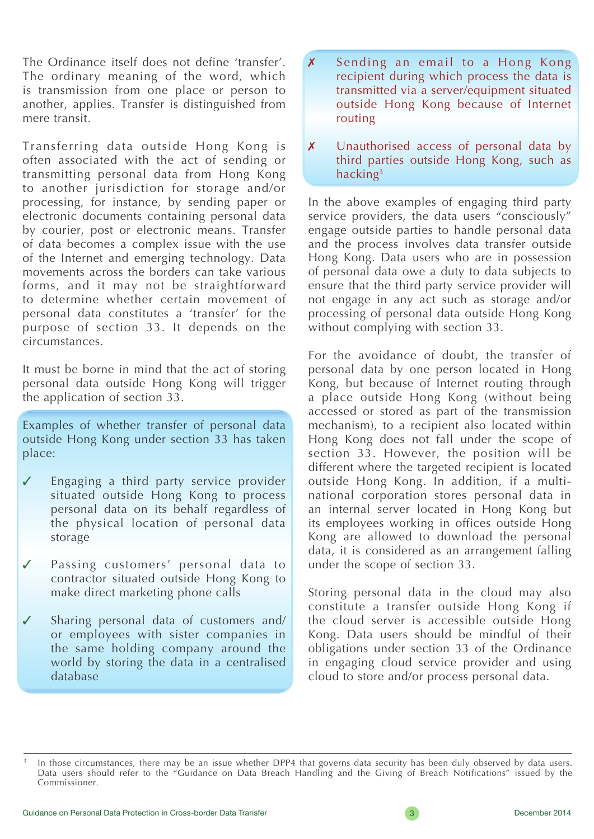The Ordinance itself does not define 'transfer'. The ordinary meaning of the word, which is transmission from one place or person to another, applies. Transfer is distinguished from mere transit.

Transferring data outside Hong Kong is often associated with the act of sending or transmitting personal data from Hong Kong to another jurisdiction for storage and/or processing, for instance, by sending paper or electronic documents containing personal data by courier, post or electronic means. Transfer of data becomes a complex issue with the use of the Internet and emerging technology. Data movements across the borders can take various forms, and it may not be straightforward to determine whether certain movement of personal data constitutes a 'transfer' for the purpose of section 33. It depends on the circumstances.

It must be borne in mind that the act of storing personal data outside Hong Kong will trigger the application of section 33.

Examples of whether transfer of personal data outside Hong Kong under section 33 has taken place:

- Engaging a third party service provider situated outside Hong Kong to process personal data on its behalf regardless of the physical location of personal data storage
- ✓ Passing customers' personal data to contractor situated outside Hong Kong to make direct marketing phone calls
- ✓ Sharing personal data of customers and/ or employees with sister companies in the same holding company around the world by storing the data in a centralised database
- ✗ Sending an email to a Hong Kong recipient during which process the data is transmitted via a server/equipment situated outside Hong Kong because of Internet routing
- **X** Unauthorised access of personal data by third parties outside Hong Kong, such as hacking3

In the above examples of engaging third party service providers, the data users "consciously" engage outside parties to handle personal data and the process involves data transfer outside Hong Kong. Data users who are in possession of personal data owe a duty to data subjects to ensure that the third party service provider will not engage in any act such as storage and/or processing of personal data outside Hong Kong without complying with section 33.

For the avoidance of doubt, the transfer of personal data by one person located in Hong Kong, but because of Internet routing through a place outside Hong Kong (without being accessed or stored as part of the transmission mechanism), to a recipient also located within Hong Kong does not fall under the scope of section 33. However, the position will be different where the targeted recipient is located outside Hong Kong. In addition, if a multinational corporation stores personal data in an internal server located in Hong Kong but its employees working in offices outside Hong Kong are allowed to download the personal data, it is considered as an arrangement falling under the scope of section 33.

Storing personal data in the cloud may also constitute a transfer outside Hong Kong if the cloud server is accessible outside Hong Kong. Data users should be mindful of their obligations under section 33 of the Ordinance in engaging cloud service provider and using cloud to store and/or process personal data.

In those circumstances, there may be an issue whether DPP4 that governs data security has been duly observed by data users. Data users should refer to the "Guidance on Data Breach Handling and the Giving of Breach Notifications" issued by the Commissioner.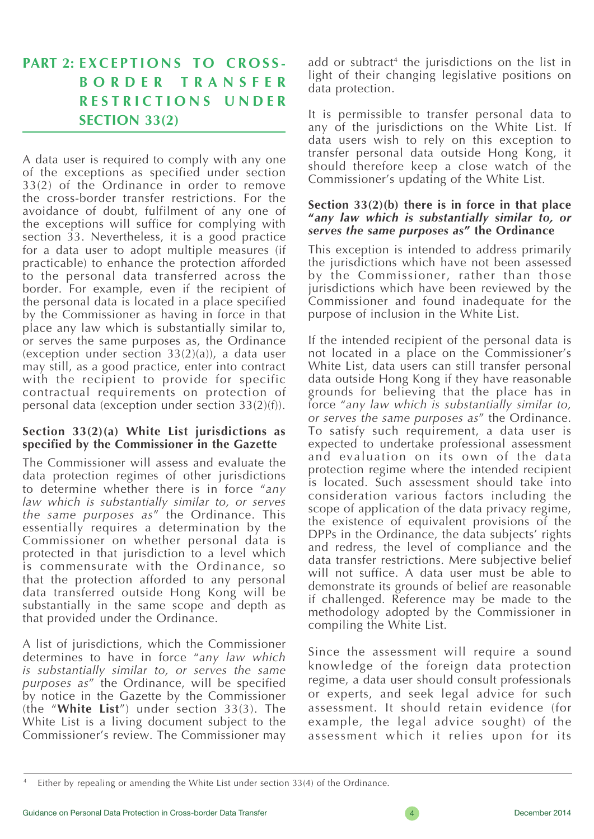## **PART 2: EXCEPTIONS TO CROSS-B O R D E R T R A N S F E R R E S T R I C T I O N S U N D E R SECTION 33(2)**

A data user is required to comply with any one of the exceptions as specified under section 33(2) of the Ordinance in order to remove the cross-border transfer restrictions. For the avoidance of doubt, fulfilment of any one of the exceptions will suffice for complying with section 33. Nevertheless, it is a good practice for a data user to adopt multiple measures (if practicable) to enhance the protection afforded to the personal data transferred across the border. For example, even if the recipient of the personal data is located in a place specified by the Commissioner as having in force in that place any law which is substantially similar to, or serves the same purposes as, the Ordinance (exception under section  $33(2)(a)$ ), a data user may still, as a good practice, enter into contract with the recipient to provide for specific contractual requirements on protection of personal data (exception under section 33(2)(f)).

#### **Section 33(2)(a) White List jurisdictions as specified by the Commissioner in the Gazette**

The Commissioner will assess and evaluate the data protection regimes of other jurisdictions to determine whether there is in force "*any law which is substantially similar to, or serves the same purposes as*" the Ordinance. This essentially requires a determination by the Commissioner on whether personal data is protected in that jurisdiction to a level which is commensurate with the Ordinance, so that the protection afforded to any personal data transferred outside Hong Kong will be substantially in the same scope and depth as that provided under the Ordinance.

A list of jurisdictions, which the Commissioner determines to have in force "*any law which is substantially similar to, or serves the same purposes as*" the Ordinance, will be specified by notice in the Gazette by the Commissioner (the "White List") under section 33(3). The White List is a living document subject to the Commissioner's review. The Commissioner may add or subtract<sup>4</sup> the jurisdictions on the list in light of their changing legislative positions on data protection.

It is permissible to transfer personal data to any of the jurisdictions on the White List. If data users wish to rely on this exception to transfer personal data outside Hong Kong, it should therefore keep a close watch of the Commissioner's updating of the White List.

#### **Section 33(2)(b) there is in force in that place "***any law which is substantially similar to, or serves the same purposes as***" the Ordinance**

This exception is intended to address primarily the jurisdictions which have not been assessed by the Commissioner, rather than those jurisdictions which have been reviewed by the Commissioner and found inadequate for the purpose of inclusion in the White List.

If the intended recipient of the personal data is not located in a place on the Commissioner's White List, data users can still transfer personal data outside Hong Kong if they have reasonable grounds for believing that the place has in force "*any law which is substantially similar to, or serves the same purposes as*" the Ordinance. To satisfy such requirement, a data user is expected to undertake professional assessment and evaluation on its own of the data protection regime where the intended recipient is located. Such assessment should take into consideration various factors including the scope of application of the data privacy regime, the existence of equivalent provisions of the DPPs in the Ordinance, the data subjects' rights and redress, the level of compliance and the data transfer restrictions. Mere subjective belief will not suffice. A data user must be able to demonstrate its grounds of belief are reasonable if challenged. Reference may be made to the methodology adopted by the Commissioner in compiling the White List.

Since the assessment will require a sound knowledge of the foreign data protection regime, a data user should consult professionals or experts, and seek legal advice for such assessment. It should retain evidence (for example, the legal advice sought) of the assessment which it relies upon for its

Either by repealing or amending the White List under section 33(4) of the Ordinance.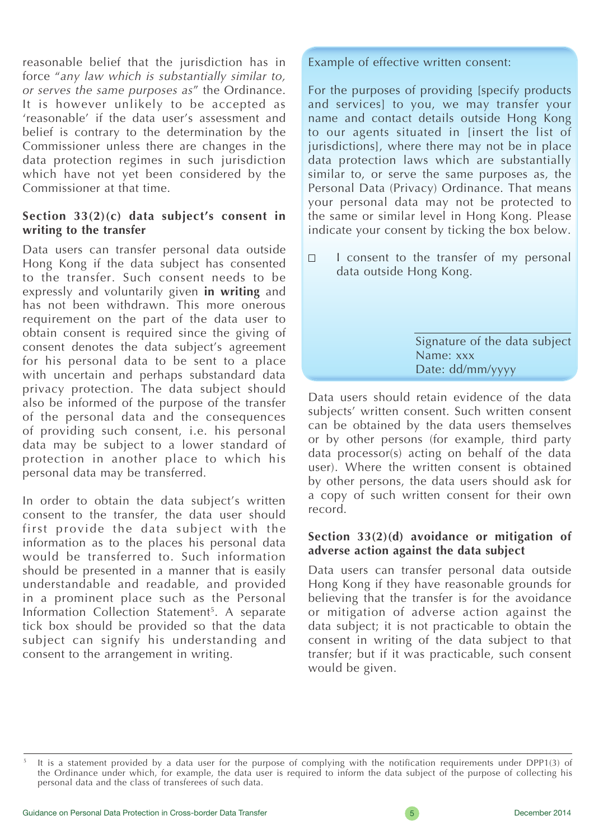reasonable belief that the jurisdiction has in force "*any law which is substantially similar to, or serves the same purposes as*" the Ordinance. It is however unlikely to be accepted as 'reasonable' if the data user's assessment and belief is contrary to the determination by the Commissioner unless there are changes in the data protection regimes in such jurisdiction which have not yet been considered by the Commissioner at that time.

#### **Section 33(2)(c) data subject's consent in writing to the transfer**

Data users can transfer personal data outside Hong Kong if the data subject has consented to the transfer. Such consent needs to be expressly and voluntarily given **in writing** and has not been withdrawn. This more onerous requirement on the part of the data user to obtain consent is required since the giving of consent denotes the data subject's agreement for his personal data to be sent to a place with uncertain and perhaps substandard data privacy protection. The data subject should also be informed of the purpose of the transfer of the personal data and the consequences of providing such consent, i.e. his personal data may be subject to a lower standard of protection in another place to which his personal data may be transferred.

In order to obtain the data subject's written consent to the transfer, the data user should first provide the data subject with the information as to the places his personal data would be transferred to. Such information should be presented in a manner that is easily understandable and readable, and provided in a prominent place such as the Personal Information Collection Statement<sup>5</sup>. A separate tick box should be provided so that the data subject can signify his understanding and consent to the arrangement in writing.

#### Example of effective written consent:

For the purposes of providing [specify products and services] to you, we may transfer your name and contact details outside Hong Kong to our agents situated in [insert the list of jurisdictions], where there may not be in place data protection laws which are substantially similar to, or serve the same purposes as, the Personal Data (Privacy) Ordinance. That means your personal data may not be protected to the same or similar level in Hong Kong. Please indicate your consent by ticking the box below.

I consent to the transfer of my personal  $\Box$ data outside Hong Kong.

> Signature of the data subject Name: xxx Date: dd/mm/yyyy

Data users should retain evidence of the data subjects' written consent. Such written consent can be obtained by the data users themselves or by other persons (for example, third party data processor(s) acting on behalf of the data user). Where the written consent is obtained by other persons, the data users should ask for a copy of such written consent for their own record.

#### **Section 33(2)(d) avoidance or mitigation of adverse action against the data subject**

Data users can transfer personal data outside Hong Kong if they have reasonable grounds for believing that the transfer is for the avoidance or mitigation of adverse action against the data subject; it is not practicable to obtain the consent in writing of the data subject to that transfer; but if it was practicable, such consent would be given.

It is a statement provided by a data user for the purpose of complying with the notification requirements under DPP1(3) of the Ordinance under which, for example, the data user is required to inform the data subject of the purpose of collecting his personal data and the class of transferees of such data.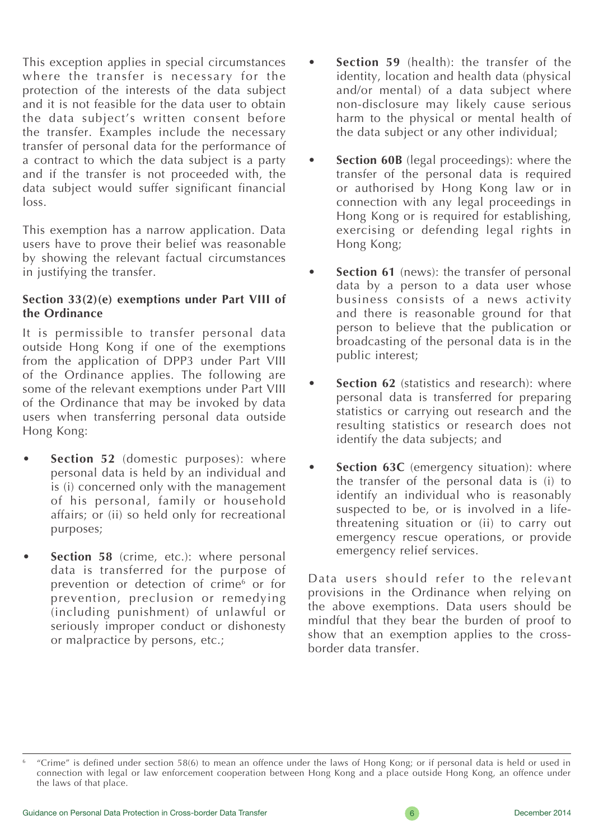This exception applies in special circumstances where the transfer is necessary for the protection of the interests of the data subject and it is not feasible for the data user to obtain the data subject's written consent before the transfer. Examples include the necessary transfer of personal data for the performance of a contract to which the data subject is a party and if the transfer is not proceeded with, the data subject would suffer significant financial loss.

This exemption has a narrow application. Data users have to prove their belief was reasonable by showing the relevant factual circumstances in justifying the transfer.

#### **Section 33(2)(e) exemptions under Part VIII of the Ordinance**

It is permissible to transfer personal data outside Hong Kong if one of the exemptions from the application of DPP3 under Part VIII of the Ordinance applies. The following are some of the relevant exemptions under Part VIII of the Ordinance that may be invoked by data users when transferring personal data outside Hong Kong:

- **Section 52** (domestic purposes): where personal data is held by an individual and is (i) concerned only with the management of his personal, family or household affairs; or (ii) so held only for recreational purposes;
- **Section 58** (crime, etc.): where personal data is transferred for the purpose of prevention or detection of crime<sup>6</sup> or for prevention, preclusion or remedying (including punishment) of unlawful or seriously improper conduct or dishonesty or malpractice by persons, etc.;
- **Section 59** (health): the transfer of the identity, location and health data (physical and/or mental) of a data subject where non-disclosure may likely cause serious harm to the physical or mental health of the data subject or any other individual;
- **Section 60B** (legal proceedings): where the transfer of the personal data is required or authorised by Hong Kong law or in connection with any legal proceedings in Hong Kong or is required for establishing, exercising or defending legal rights in Hong Kong;
- **Section 61** (news): the transfer of personal data by a person to a data user whose business consists of a news activity and there is reasonable ground for that person to believe that the publication or broadcasting of the personal data is in the public interest;
- **Section 62** (statistics and research): where personal data is transferred for preparing statistics or carrying out research and the resulting statistics or research does not identify the data subjects; and
- **Section 63C** (emergency situation): where the transfer of the personal data is (i) to identify an individual who is reasonably suspected to be, or is involved in a lifethreatening situation or (ii) to carry out emergency rescue operations, or provide emergency relief services.

Data users should refer to the relevant provisions in the Ordinance when relying on the above exemptions. Data users should be mindful that they bear the burden of proof to show that an exemption applies to the crossborder data transfer.

<sup>6</sup> "Crime" is defined under section 58(6) to mean an offence under the laws of Hong Kong; or if personal data is held or used in connection with legal or law enforcement cooperation between Hong Kong and a place outside Hong Kong, an offence under the laws of that place.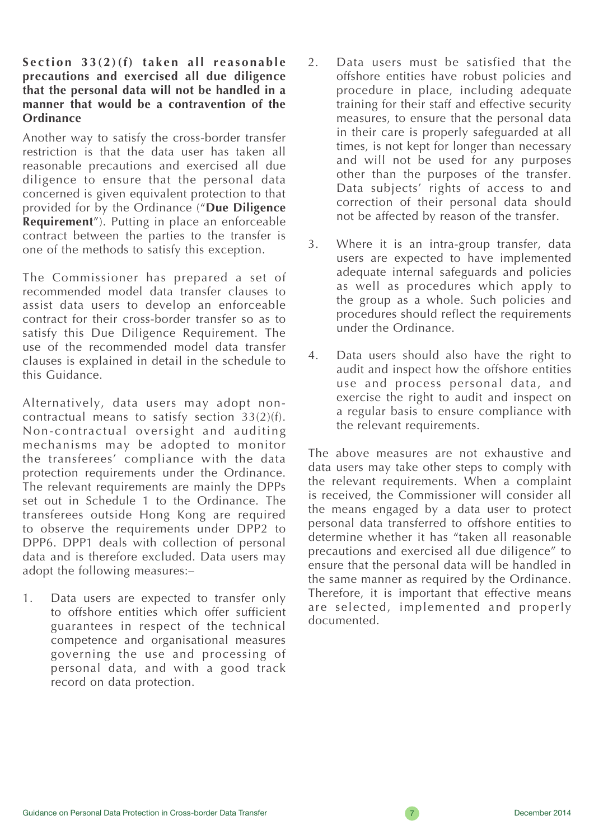#### **Section 33(2)(f) taken all reasonable precautions and exercised all due diligence that the personal data will not be handled in a manner that would be a contravention of the Ordinance**

Another way to satisfy the cross-border transfer restriction is that the data user has taken all reasonable precautions and exercised all due diligence to ensure that the personal data concerned is given equivalent protection to that provided for by the Ordinance ("**Due Diligence Requirement**"). Putting in place an enforceable contract between the parties to the transfer is one of the methods to satisfy this exception.

The Commissioner has prepared a set of recommended model data transfer clauses to assist data users to develop an enforceable contract for their cross-border transfer so as to satisfy this Due Diligence Requirement. The use of the recommended model data transfer clauses is explained in detail in the schedule to this Guidance.

Alternatively, data users may adopt noncontractual means to satisfy section 33(2)(f). Non-contractual oversight and auditing mechanisms may be adopted to monitor the transferees' compliance with the data protection requirements under the Ordinance. The relevant requirements are mainly the DPPs set out in Schedule 1 to the Ordinance. The transferees outside Hong Kong are required to observe the requirements under DPP2 to DPP6. DPP1 deals with collection of personal data and is therefore excluded. Data users may adopt the following measures:–

1. Data users are expected to transfer only to offshore entities which offer sufficient guarantees in respect of the technical competence and organisational measures governing the use and processing of personal data, and with a good track record on data protection.

- 2. Data users must be satisfied that the offshore entities have robust policies and procedure in place, including adequate training for their staff and effective security measures, to ensure that the personal data in their care is properly safeguarded at all times, is not kept for longer than necessary and will not be used for any purposes other than the purposes of the transfer. Data subjects' rights of access to and correction of their personal data should not be affected by reason of the transfer.
- 3. Where it is an intra-group transfer, data users are expected to have implemented adequate internal safeguards and policies as well as procedures which apply to the group as a whole. Such policies and procedures should reflect the requirements under the Ordinance.
- 4. Data users should also have the right to audit and inspect how the offshore entities use and process personal data, and exercise the right to audit and inspect on a regular basis to ensure compliance with the relevant requirements.

The above measures are not exhaustive and data users may take other steps to comply with the relevant requirements. When a complaint is received, the Commissioner will consider all the means engaged by a data user to protect personal data transferred to offshore entities to determine whether it has "taken all reasonable precautions and exercised all due diligence" to ensure that the personal data will be handled in the same manner as required by the Ordinance. Therefore, it is important that effective means are selected, implemented and properly documented.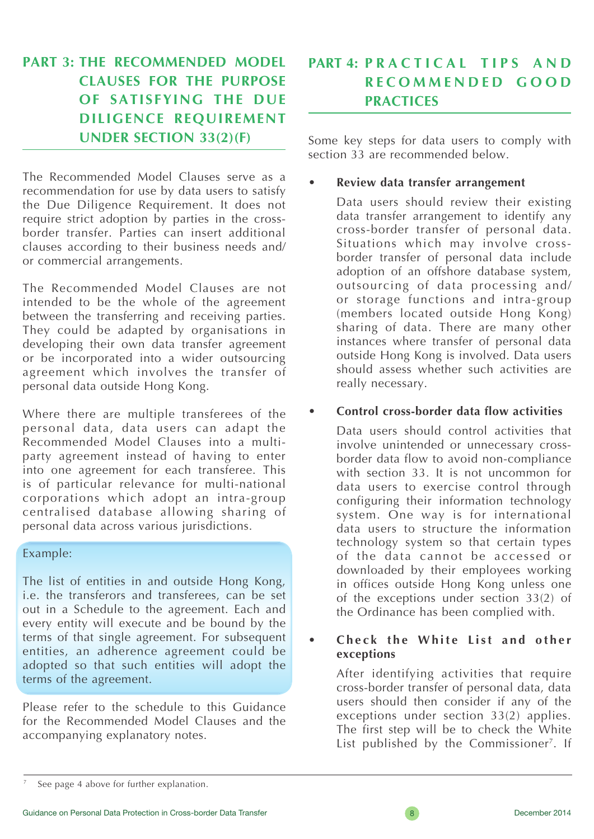## **PART 3: THE RECOMMENDED MODEL CLAUSES FOR THE PURPOSE OF SATISFYING THE DUE DILIGENCE REQUIREMENT UNDER SECTION 33(2)(F)**

The Recommended Model Clauses serve as a recommendation for use by data users to satisfy the Due Diligence Requirement. It does not require strict adoption by parties in the crossborder transfer. Parties can insert additional clauses according to their business needs and/ or commercial arrangements.

The Recommended Model Clauses are not intended to be the whole of the agreement between the transferring and receiving parties. They could be adapted by organisations in developing their own data transfer agreement or be incorporated into a wider outsourcing agreement which involves the transfer of personal data outside Hong Kong.

Where there are multiple transferees of the personal data, data users can adapt the Recommended Model Clauses into a multiparty agreement instead of having to enter into one agreement for each transferee. This is of particular relevance for multi-national corporations which adopt an intra-group centralised database allowing sharing of personal data across various jurisdictions.

#### Example:

The list of entities in and outside Hong Kong, i.e. the transferors and transferees, can be set out in a Schedule to the agreement. Each and every entity will execute and be bound by the terms of that single agreement. For subsequent entities, an adherence agreement could be adopted so that such entities will adopt the terms of the agreement.

Please refer to the schedule to this Guidance for the Recommended Model Clauses and the accompanying explanatory notes.

## **PART 4: P R A C T L C A L T L P S A N D R E C O M M E N D E D G O O D PRACTICES**

Some key steps for data users to comply with section 33 are recommended below.

#### **• Review data transfer arrangement**

Data users should review their existing data transfer arrangement to identify any cross-border transfer of personal data. Situations which may involve crossborder transfer of personal data include adoption of an offshore database system, outsourcing of data processing and/ or storage functions and intra-group (members located outside Hong Kong) sharing of data. There are many other instances where transfer of personal data outside Hong Kong is involved. Data users should assess whether such activities are really necessary.

#### **• Control cross-border data flow activities**

Data users should control activities that involve unintended or unnecessary crossborder data flow to avoid non-compliance with section 33. It is not uncommon for data users to exercise control through configuring their information technology system. One way is for international data users to structure the information technology system so that certain types of the data cannot be accessed or downloaded by their employees working in offices outside Hong Kong unless one of the exceptions under section 33(2) of the Ordinance has been complied with.

#### **• C h e c k the White List and other exceptions**

After identifying activities that require cross-border transfer of personal data, data users should then consider if any of the exceptions under section  $33(2)$  applies. The first step will be to check the White List published by the Commissioner<sup>7</sup>. If



See page 4 above for further explanation.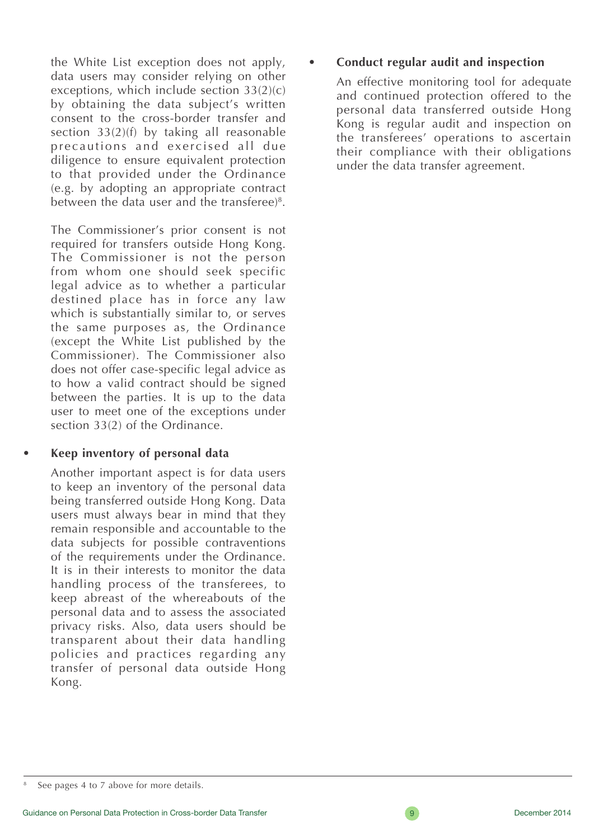the White List exception does not apply, data users may consider relying on other exceptions, which include section 33(2)(c) by obtaining the data subject's written consent to the cross-border transfer and section 33(2)(f) by taking all reasonable precautions and exercised all due diligence to ensure equivalent protection to that provided under the Ordinance (e.g. by adopting an appropriate contract between the data user and the transferee)<sup>8</sup>.

The Commissioner's prior consent is not required for transfers outside Hong Kong. The Commissioner is not the person from whom one should seek specific legal advice as to whether a particular destined place has in force any law which is substantially similar to, or serves the same purposes as, the Ordinance (except the White List published by the Commissioner). The Commissioner also does not offer case-specific legal advice as to how a valid contract should be signed between the parties. It is up to the data user to meet one of the exceptions under section 33(2) of the Ordinance.

#### **• Keep inventory of personal data**

Another important aspect is for data users to keep an inventory of the personal data being transferred outside Hong Kong. Data users must always bear in mind that they remain responsible and accountable to the data subjects for possible contraventions of the requirements under the Ordinance. It is in their interests to monitor the data handling process of the transferees, to keep abreast of the whereabouts of the personal data and to assess the associated privacy risks. Also, data users should be transparent about their data handling policies and practices regarding any transfer of personal data outside Hong Kong.

#### **• Conduct regular audit and inspection**

An effective monitoring tool for adequate and continued protection offered to the personal data transferred outside Hong Kong is regular audit and inspection on the transferees' operations to ascertain their compliance with their obligations under the data transfer agreement.

See pages 4 to 7 above for more details.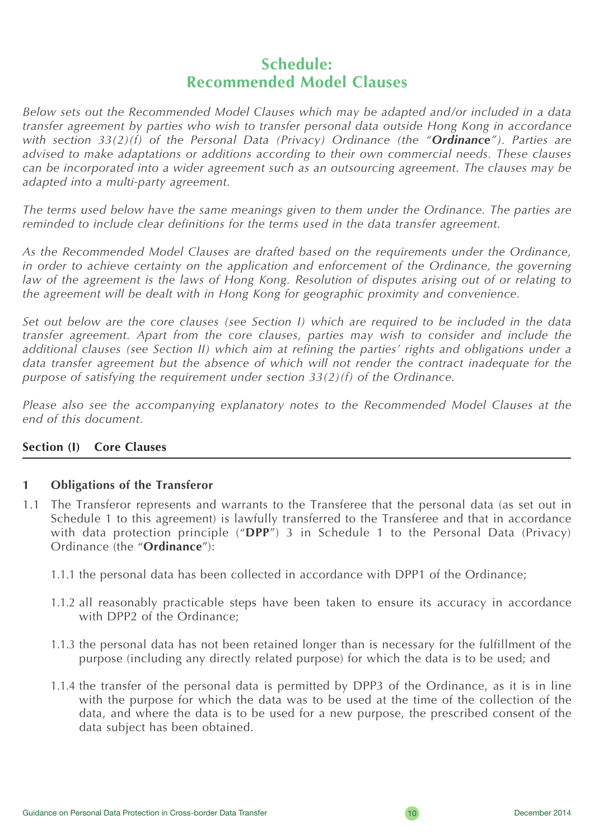## **Schedule: Recommended Model Clauses**

*Below sets out the Recommended Model Clauses which may be adapted and/or included in a data transfer agreement by parties who wish to transfer personal data outside Hong Kong in accordance with section 33(2)(f) of the Personal Data (Privacy) Ordinance (the "Ordinance"). Parties are advised to make adaptations or additions according to their own commercial needs. These clauses can be incorporated into a wider agreement such as an outsourcing agreement. The clauses may be adapted into a multi-party agreement.*

*The terms used below have the same meanings given to them under the Ordinance. The parties are reminded to include clear definitions for the terms used in the data transfer agreement.*

*As the Recommended Model Clauses are drafted based on the requirements under the Ordinance,*  in order to achieve certainty on the application and enforcement of the Ordinance, the governing *law of the agreement is the laws of Hong Kong. Resolution of disputes arising out of or relating to the agreement will be dealt with in Hong Kong for geographic proximity and convenience.*

*Set out below are the core clauses (see Section I) which are required to be included in the data transfer agreement. Apart from the core clauses, parties may wish to consider and include the additional clauses (see Section II) which aim at refining the parties' rights and obligations under a data transfer agreement but the absence of which will not render the contract inadequate for the purpose of satisfying the requirement under section 33(2)(f) of the Ordinance.*

*Please also see the accompanying explanatory notes to the Recommended Model Clauses at the end of this document.*

#### **Section (I) Core Clauses**

#### **1 Obligations of the Transferor**

- 1.1 The Transferor represents and warrants to the Transferee that the personal data (as set out in Schedule 1 to this agreement) is lawfully transferred to the Transferee and that in accordance with data protection principle ("**DPP**") 3 in Schedule 1 to the Personal Data (Privacy) Ordinance (the "**Ordinance**"):
	- 1.1.1 the personal data has been collected in accordance with DPP1 of the Ordinance;
	- 1.1.2 all reasonably practicable steps have been taken to ensure its accuracy in accordance with DPP2 of the Ordinance;
	- 1.1.3 the personal data has not been retained longer than is necessary for the fulfillment of the purpose (including any directly related purpose) for which the data is to be used; and
	- 1.1.4 the transfer of the personal data is permitted by DPP3 of the Ordinance, as it is in line with the purpose for which the data was to be used at the time of the collection of the data, and where the data is to be used for a new purpose, the prescribed consent of the data subject has been obtained.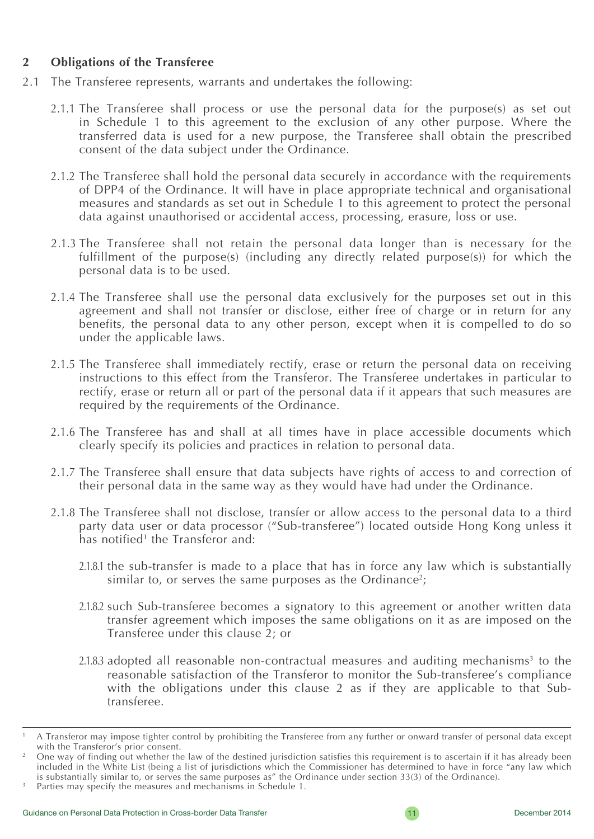#### **2 Obligations of the Transferee**

- 2.1 The Transferee represents, warrants and undertakes the following:
	- 2.1.1 The Transferee shall process or use the personal data for the purpose(s) as set out in Schedule 1 to this agreement to the exclusion of any other purpose. Where the transferred data is used for a new purpose, the Transferee shall obtain the prescribed consent of the data subject under the Ordinance.
	- 2.1.2 The Transferee shall hold the personal data securely in accordance with the requirements of DPP4 of the Ordinance. It will have in place appropriate technical and organisational measures and standards as set out in Schedule 1 to this agreement to protect the personal data against unauthorised or accidental access, processing, erasure, loss or use.
	- 2.1.3 The Transferee shall not retain the personal data longer than is necessary for the fulfillment of the purpose(s) (including any directly related purpose(s)) for which the personal data is to be used.
	- 2.1.4 The Transferee shall use the personal data exclusively for the purposes set out in this agreement and shall not transfer or disclose, either free of charge or in return for any benefits, the personal data to any other person, except when it is compelled to do so under the applicable laws.
	- 2.1.5 The Transferee shall immediately rectify, erase or return the personal data on receiving instructions to this effect from the Transferor. The Transferee undertakes in particular to rectify, erase or return all or part of the personal data if it appears that such measures are required by the requirements of the Ordinance.
	- 2.1.6 The Transferee has and shall at all times have in place accessible documents which clearly specify its policies and practices in relation to personal data.
	- 2.1.7 The Transferee shall ensure that data subjects have rights of access to and correction of their personal data in the same way as they would have had under the Ordinance.
	- 2.1.8 The Transferee shall not disclose, transfer or allow access to the personal data to a third party data user or data processor ("Sub-transferee") located outside Hong Kong unless it has notified<sup>1</sup> the Transferor and:
		- 2.1.8.1 the sub-transfer is made to a place that has in force any law which is substantially similar to, or serves the same purposes as the Ordinance<sup>2</sup>;
		- 2.1.8.2 such Sub-transferee becomes a signatory to this agreement or another written data transfer agreement which imposes the same obligations on it as are imposed on the Transferee under this clause 2; or
		- $2.1.8.3$  adopted all reasonable non-contractual measures and auditing mechanisms<sup>3</sup> to the reasonable satisfaction of the Transferor to monitor the Sub-transferee's compliance with the obligations under this clause 2 as if they are applicable to that Subtransferee.

<sup>1</sup> A Transferor may impose tighter control by prohibiting the Transferee from any further or onward transfer of personal data except with the Transferor's prior consent.

One way of finding out whether the law of the destined jurisdiction satisfies this requirement is to ascertain if it has already been included in the White List (being a list of jurisdictions which the Commissioner has determined to have in force "any law which is substantially similar to, or serves the same purposes as" the Ordinance under section 33(3) of the Ordinance).

Parties may specify the measures and mechanisms in Schedule 1.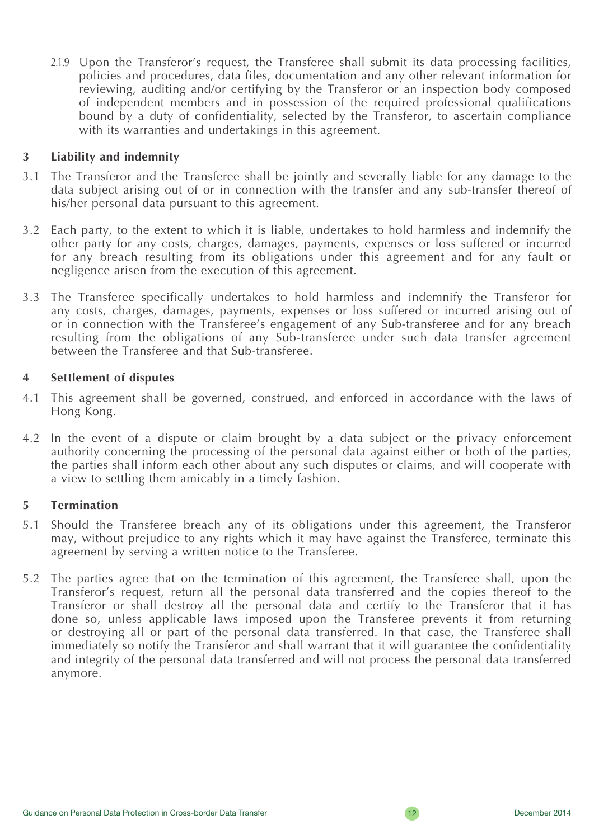2.1.9 Upon the Transferor's request, the Transferee shall submit its data processing facilities, policies and procedures, data files, documentation and any other relevant information for reviewing, auditing and/or certifying by the Transferor or an inspection body composed of independent members and in possession of the required professional qualifications bound by a duty of confidentiality, selected by the Transferor, to ascertain compliance with its warranties and undertakings in this agreement.

#### **3 Liability and indemnity**

- 3.1 The Transferor and the Transferee shall be jointly and severally liable for any damage to the data subject arising out of or in connection with the transfer and any sub-transfer thereof of his/her personal data pursuant to this agreement.
- 3.2 Each party, to the extent to which it is liable, undertakes to hold harmless and indemnify the other party for any costs, charges, damages, payments, expenses or loss suffered or incurred for any breach resulting from its obligations under this agreement and for any fault or negligence arisen from the execution of this agreement.
- 3.3 The Transferee specifically undertakes to hold harmless and indemnify the Transferor for any costs, charges, damages, payments, expenses or loss suffered or incurred arising out of or in connection with the Transferee's engagement of any Sub-transferee and for any breach resulting from the obligations of any Sub-transferee under such data transfer agreement between the Transferee and that Sub-transferee.

#### **4 Settlement of disputes**

- 4.1 This agreement shall be governed, construed, and enforced in accordance with the laws of Hong Kong.
- 4.2 In the event of a dispute or claim brought by a data subject or the privacy enforcement authority concerning the processing of the personal data against either or both of the parties, the parties shall inform each other about any such disputes or claims, and will cooperate with a view to settling them amicably in a timely fashion.

#### **5 Termination**

- 5.1 Should the Transferee breach any of its obligations under this agreement, the Transferor may, without prejudice to any rights which it may have against the Transferee, terminate this agreement by serving a written notice to the Transferee.
- 5.2 The parties agree that on the termination of this agreement, the Transferee shall, upon the Transferor's request, return all the personal data transferred and the copies thereof to the Transferor or shall destroy all the personal data and certify to the Transferor that it has done so, unless applicable laws imposed upon the Transferee prevents it from returning or destroying all or part of the personal data transferred. In that case, the Transferee shall immediately so notify the Transferor and shall warrant that it will guarantee the confidentiality and integrity of the personal data transferred and will not process the personal data transferred anymore.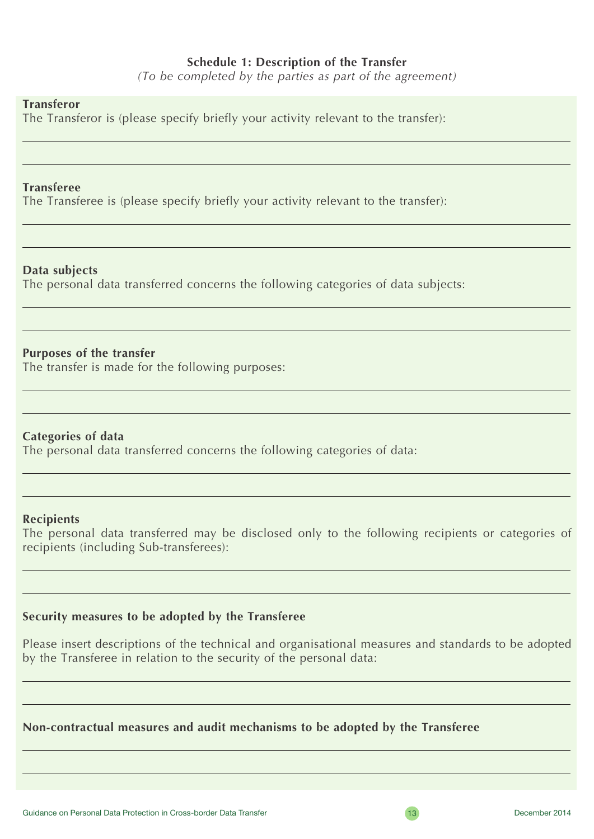#### **Schedule 1: Description of the Transfer**

*(To be completed by the parties as part of the agreement)*

#### **Transferor**

The Transferor is (please specify briefly your activity relevant to the transfer):

#### **Transferee**

The Transferee is (please specify briefly your activity relevant to the transfer):

#### **Data subjects**

The personal data transferred concerns the following categories of data subjects:

#### **Purposes of the transfer**

The transfer is made for the following purposes:

#### **Categories of data**

The personal data transferred concerns the following categories of data:

#### **Recipients**

The personal data transferred may be disclosed only to the following recipients or categories of recipients (including Sub-transferees):

#### **Security measures to be adopted by the Transferee**

Please insert descriptions of the technical and organisational measures and standards to be adopted by the Transferee in relation to the security of the personal data:

#### **Non-contractual measures and audit mechanisms to be adopted by the Transferee**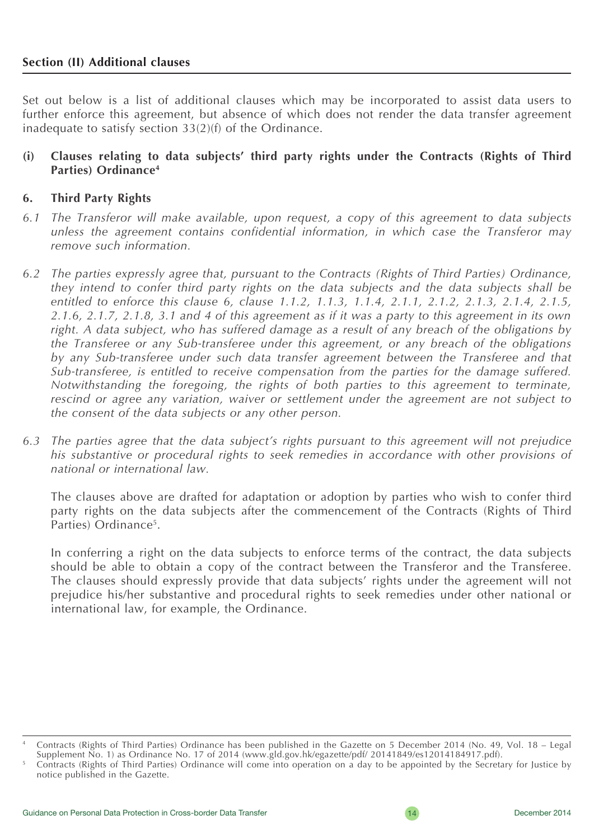Set out below is a list of additional clauses which may be incorporated to assist data users to further enforce this agreement, but absence of which does not render the data transfer agreement inadequate to satisfy section 33(2)(f) of the Ordinance.

#### **(i) Clauses relating to data subjects' third party rights under the Contracts (Rights of Third Parties) Ordinance4**

#### **6. Third Party Rights**

- *6.1 The Transferor will make available, upon request, a copy of this agreement to data subjects unless the agreement contains confidential information, in which case the Transferor may remove such information.*
- *6.2 The parties expressly agree that, pursuant to the Contracts (Rights of Third Parties) Ordinance, they intend to confer third party rights on the data subjects and the data subjects shall be entitled to enforce this clause 6, clause 1.1.2, 1.1.3, 1.1.4, 2.1.1, 2.1.2, 2.1.3, 2.1.4, 2.1.5, 2.1.6, 2.1.7, 2.1.8, 3.1 and 4 of this agreement as if it was a party to this agreement in its own right. A data subject, who has suffered damage as a result of any breach of the obligations by the Transferee or any Sub-transferee under this agreement, or any breach of the obligations by any Sub-transferee under such data transfer agreement between the Transferee and that Sub-transferee, is entitled to receive compensation from the parties for the damage suffered. Notwithstanding the foregoing, the rights of both parties to this agreement to terminate, rescind or agree any variation, waiver or settlement under the agreement are not subject to the consent of the data subjects or any other person.*
- *6.3 The parties agree that the data subject's rights pursuant to this agreement will not prejudice his substantive or procedural rights to seek remedies in accordance with other provisions of national or international law.*

The clauses above are drafted for adaptation or adoption by parties who wish to confer third party rights on the data subjects after the commencement of the Contracts (Rights of Third Parties) Ordinance<sup>5</sup>.

In conferring a right on the data subjects to enforce terms of the contract, the data subjects should be able to obtain a copy of the contract between the Transferor and the Transferee. The clauses should expressly provide that data subjects' rights under the agreement will not prejudice his/her substantive and procedural rights to seek remedies under other national or international law, for example, the Ordinance.

Contracts (Rights of Third Parties) Ordinance has been published in the Gazette on 5 December 2014 (No. 49, Vol. 18 – Legal Supplement No. 1) as Ordinance No. 17 of 2014 (www.gld.gov.hk/egazette/pdf/ 20141849/es12014184917.pdf).

<sup>5</sup> Contracts (Rights of Third Parties) Ordinance will come into operation on a day to be appointed by the Secretary for Justice by notice published in the Gazette.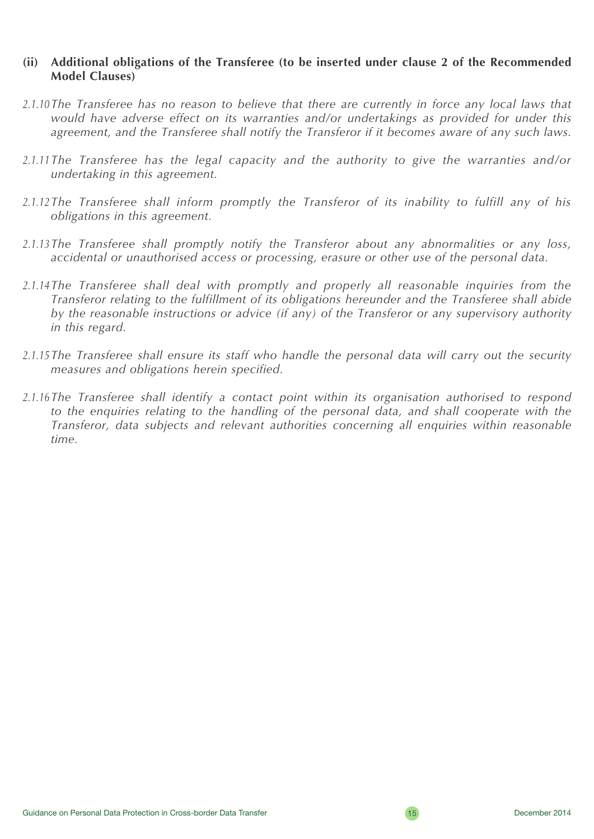#### **(ii) Additional obligations of the Transferee (to be inserted under clause 2 of the Recommended Model Clauses)**

- *2.1.10The Transferee has no reason to believe that there are currently in force any local laws that would have adverse effect on its warranties and/or undertakings as provided for under this agreement, and the Transferee shall notify the Transferor if it becomes aware of any such laws.*
- *2.1.11The Transferee has the legal capacity and the authority to give the warranties and/or undertaking in this agreement.*
- *2.1.12The Transferee shall inform promptly the Transferor of its inability to fulfill any of his obligations in this agreement.*
- *2.1.13The Transferee shall promptly notify the Transferor about any abnormalities or any loss, accidental or unauthorised access or processing, erasure or other use of the personal data.*
- *2.1.14The Transferee shall deal with promptly and properly all reasonable inquiries from the Transferor relating to the fulfillment of its obligations hereunder and the Transferee shall abide by the reasonable instructions or advice (if any) of the Transferor or any supervisory authority in this regard.*
- *2.1.15The Transferee shall ensure its staff who handle the personal data will carry out the security measures and obligations herein specified.*
- *2.1.16The Transferee shall identify a contact point within its organisation authorised to respond*  to the enquiries relating to the handling of the personal data, and shall cooperate with the *Transferor, data subjects and relevant authorities concerning all enquiries within reasonable time.*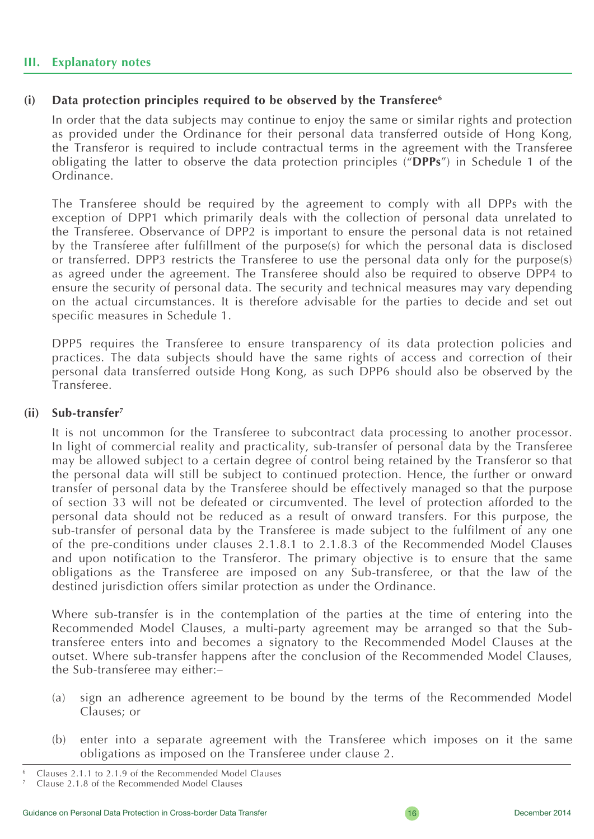#### **III. Explanatory notes**

#### **(i) Data protection principles required to be observed by the Transferee6**

In order that the data subjects may continue to enjoy the same or similar rights and protection as provided under the Ordinance for their personal data transferred outside of Hong Kong, the Transferor is required to include contractual terms in the agreement with the Transferee obligating the latter to observe the data protection principles ("**DPPs**") in Schedule 1 of the Ordinance.

The Transferee should be required by the agreement to comply with all DPPs with the exception of DPP1 which primarily deals with the collection of personal data unrelated to the Transferee. Observance of DPP2 is important to ensure the personal data is not retained by the Transferee after fulfillment of the purpose(s) for which the personal data is disclosed or transferred. DPP3 restricts the Transferee to use the personal data only for the purpose(s) as agreed under the agreement. The Transferee should also be required to observe DPP4 to ensure the security of personal data. The security and technical measures may vary depending on the actual circumstances. It is therefore advisable for the parties to decide and set out specific measures in Schedule 1.

DPP5 requires the Transferee to ensure transparency of its data protection policies and practices. The data subjects should have the same rights of access and correction of their personal data transferred outside Hong Kong, as such DPP6 should also be observed by the Transferee.

#### **(ii) Sub-transfer7**

It is not uncommon for the Transferee to subcontract data processing to another processor. In light of commercial reality and practicality, sub-transfer of personal data by the Transferee may be allowed subject to a certain degree of control being retained by the Transferor so that the personal data will still be subject to continued protection. Hence, the further or onward transfer of personal data by the Transferee should be effectively managed so that the purpose of section 33 will not be defeated or circumvented. The level of protection afforded to the personal data should not be reduced as a result of onward transfers. For this purpose, the sub-transfer of personal data by the Transferee is made subject to the fulfilment of any one of the pre-conditions under clauses 2.1.8.1 to 2.1.8.3 of the Recommended Model Clauses and upon notification to the Transferor. The primary objective is to ensure that the same obligations as the Transferee are imposed on any Sub-transferee, or that the law of the destined jurisdiction offers similar protection as under the Ordinance.

Where sub-transfer is in the contemplation of the parties at the time of entering into the Recommended Model Clauses, a multi-party agreement may be arranged so that the Subtransferee enters into and becomes a signatory to the Recommended Model Clauses at the outset. Where sub-transfer happens after the conclusion of the Recommended Model Clauses, the Sub-transferee may either:–

- (a) sign an adherence agreement to be bound by the terms of the Recommended Model Clauses; or
- (b) enter into a separate agreement with the Transferee which imposes on it the same obligations as imposed on the Transferee under clause 2.

<sup>6</sup> Clauses 2.1.1 to 2.1.9 of the Recommended Model Clauses

<sup>7</sup> Clause 2.1.8 of the Recommended Model Clauses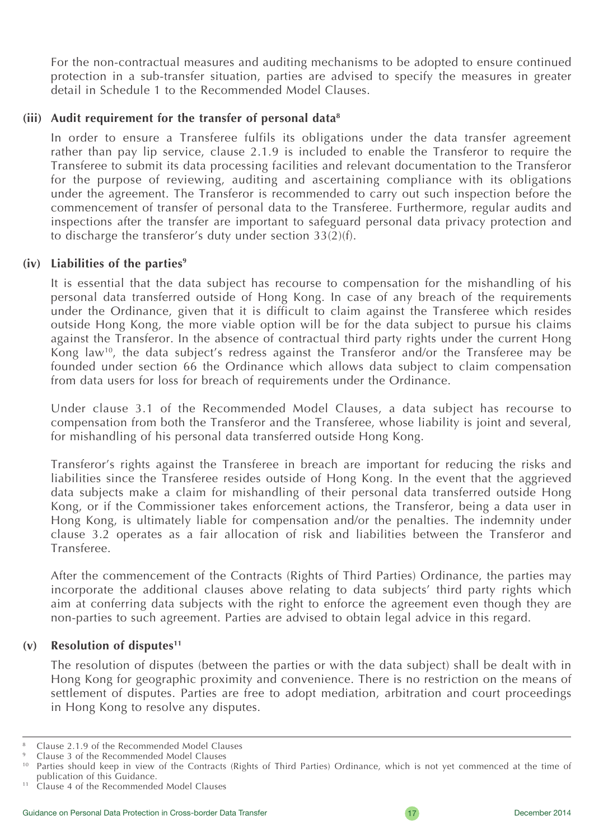For the non-contractual measures and auditing mechanisms to be adopted to ensure continued protection in a sub-transfer situation, parties are advised to specify the measures in greater detail in Schedule 1 to the Recommended Model Clauses.

#### **(iii) Audit requirement for the transfer of personal data8**

In order to ensure a Transferee fulfils its obligations under the data transfer agreement rather than pay lip service, clause 2.1.9 is included to enable the Transferor to require the Transferee to submit its data processing facilities and relevant documentation to the Transferor for the purpose of reviewing, auditing and ascertaining compliance with its obligations under the agreement. The Transferor is recommended to carry out such inspection before the commencement of transfer of personal data to the Transferee. Furthermore, regular audits and inspections after the transfer are important to safeguard personal data privacy protection and to discharge the transferor's duty under section 33(2)(f).

#### **(iv) Liabilities of the parties9**

It is essential that the data subject has recourse to compensation for the mishandling of his personal data transferred outside of Hong Kong. In case of any breach of the requirements under the Ordinance, given that it is difficult to claim against the Transferee which resides outside Hong Kong, the more viable option will be for the data subject to pursue his claims against the Transferor. In the absence of contractual third party rights under the current Hong Kong law<sup>10</sup>, the data subject's redress against the Transferor and/or the Transferee may be founded under section 66 the Ordinance which allows data subject to claim compensation from data users for loss for breach of requirements under the Ordinance.

Under clause 3.1 of the Recommended Model Clauses, a data subject has recourse to compensation from both the Transferor and the Transferee, whose liability is joint and several, for mishandling of his personal data transferred outside Hong Kong.

Transferor's rights against the Transferee in breach are important for reducing the risks and liabilities since the Transferee resides outside of Hong Kong. In the event that the aggrieved data subjects make a claim for mishandling of their personal data transferred outside Hong Kong, or if the Commissioner takes enforcement actions, the Transferor, being a data user in Hong Kong, is ultimately liable for compensation and/or the penalties. The indemnity under clause 3.2 operates as a fair allocation of risk and liabilities between the Transferor and Transferee.

After the commencement of the Contracts (Rights of Third Parties) Ordinance, the parties may incorporate the additional clauses above relating to data subjects' third party rights which aim at conferring data subjects with the right to enforce the agreement even though they are non-parties to such agreement. Parties are advised to obtain legal advice in this regard.

#### **(v) Resolution of disputes11**

The resolution of disputes (between the parties or with the data subject) shall be dealt with in Hong Kong for geographic proximity and convenience. There is no restriction on the means of settlement of disputes. Parties are free to adopt mediation, arbitration and court proceedings in Hong Kong to resolve any disputes.

<sup>8</sup> Clause 2.1.9 of the Recommended Model Clauses

<sup>9</sup> Clause 3 of the Recommended Model Clauses

<sup>&</sup>lt;sup>10</sup> Parties should keep in view of the Contracts (Rights of Third Parties) Ordinance, which is not yet commenced at the time of publication of this Guidance.

<sup>&</sup>lt;sup>11</sup> Clause 4 of the Recommended Model Clauses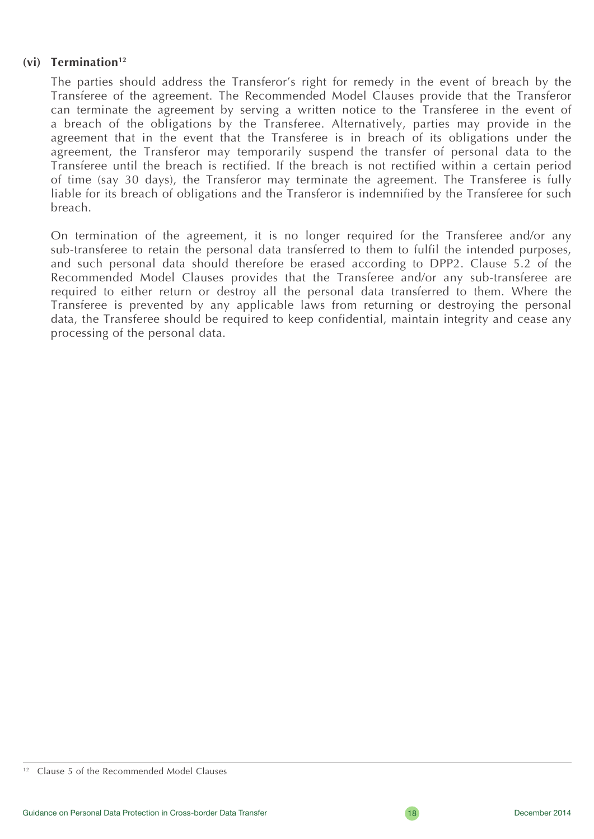#### **(vi) Termination12**

The parties should address the Transferor's right for remedy in the event of breach by the Transferee of the agreement. The Recommended Model Clauses provide that the Transferor can terminate the agreement by serving a written notice to the Transferee in the event of a breach of the obligations by the Transferee. Alternatively, parties may provide in the agreement that in the event that the Transferee is in breach of its obligations under the agreement, the Transferor may temporarily suspend the transfer of personal data to the Transferee until the breach is rectified. If the breach is not rectified within a certain period of time (say 30 days), the Transferor may terminate the agreement. The Transferee is fully liable for its breach of obligations and the Transferor is indemnified by the Transferee for such breach.

On termination of the agreement, it is no longer required for the Transferee and/or any sub-transferee to retain the personal data transferred to them to fulfil the intended purposes, and such personal data should therefore be erased according to DPP2. Clause 5.2 of the Recommended Model Clauses provides that the Transferee and/or any sub-transferee are required to either return or destroy all the personal data transferred to them. Where the Transferee is prevented by any applicable laws from returning or destroying the personal data, the Transferee should be required to keep confidential, maintain integrity and cease any processing of the personal data.

<sup>&</sup>lt;sup>12</sup> Clause 5 of the Recommended Model Clauses